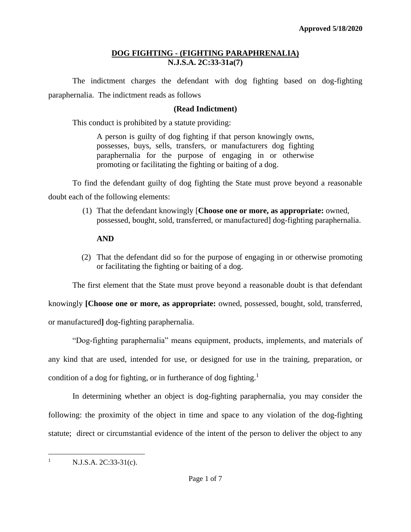## **DOG FIGHTING - (FIGHTING PARAPHRENALIA) N.J.S.A. 2C:33-31a(7)**

The indictment charges the defendant with dog fighting based on dog-fighting paraphernalia. The indictment reads as follows

## **(Read Indictment)**

This conduct is prohibited by a statute providing:

A person is guilty of dog fighting if that person knowingly owns, possesses, buys, sells, transfers, or manufacturers dog fighting paraphernalia for the purpose of engaging in or otherwise promoting or facilitating the fighting or baiting of a dog.

To find the defendant guilty of dog fighting the State must prove beyond a reasonable doubt each of the following elements:

> (1) That the defendant knowingly [**Choose one or more, as appropriate:** owned, possessed, bought, sold, transferred, or manufactured] dog-fighting paraphernalia.

## **AND**

(2) That the defendant did so for the purpose of engaging in or otherwise promoting or facilitating the fighting or baiting of a dog.

The first element that the State must prove beyond a reasonable doubt is that defendant

knowingly **[Choose one or more, as appropriate:** owned, possessed, bought, sold, transferred,

or manufactured**]** dog-fighting paraphernalia.

"Dog-fighting paraphernalia" means equipment, products, implements, and materials of any kind that are used, intended for use, or designed for use in the training, preparation, or condition of a dog for fighting, or in furtherance of dog fighting.<sup>1</sup>

In determining whether an object is dog-fighting paraphernalia, you may consider the following: the proximity of the object in time and space to any violation of the dog-fighting statute; direct or circumstantial evidence of the intent of the person to deliver the object to any

 $N.J.S.A. 2C:33-31(c).$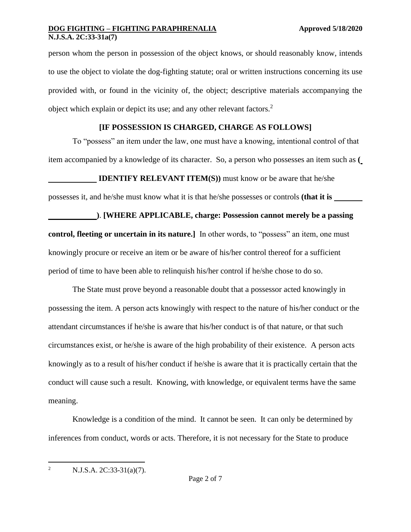person whom the person in possession of the object knows, or should reasonably know, intends to use the object to violate the dog-fighting statute; oral or written instructions concerning its use provided with, or found in the vicinity of, the object; descriptive materials accompanying the object which explain or depict its use; and any other relevant factors. $2$ 

## **[IF POSSESSION IS CHARGED, CHARGE AS FOLLOWS]**

To "possess" an item under the law, one must have a knowing, intentional control of that item accompanied by a knowledge of its character. So, a person who possesses an item such as **(**

**IDENTIFY RELEVANT ITEM(S)**) must know or be aware that he/she

possesses it, and he/she must know what it is that he/she possesses or controls **(that it is** 

**)**. **[WHERE APPLICABLE, charge: Possession cannot merely be a passing control, fleeting or uncertain in its nature.**] In other words, to "possess" an item, one must knowingly procure or receive an item or be aware of his/her control thereof for a sufficient period of time to have been able to relinquish his/her control if he/she chose to do so.

The State must prove beyond a reasonable doubt that a possessor acted knowingly in possessing the item. A person acts knowingly with respect to the nature of his/her conduct or the attendant circumstances if he/she is aware that his/her conduct is of that nature, or that such circumstances exist, or he/she is aware of the high probability of their existence. A person acts knowingly as to a result of his/her conduct if he/she is aware that it is practically certain that the conduct will cause such a result. Knowing, with knowledge, or equivalent terms have the same meaning.

Knowledge is a condition of the mind. It cannot be seen. It can only be determined by inferences from conduct, words or acts. Therefore, it is not necessary for the State to produce

<sup>2</sup> N.J.S.A. 2C:33-31(a)(7).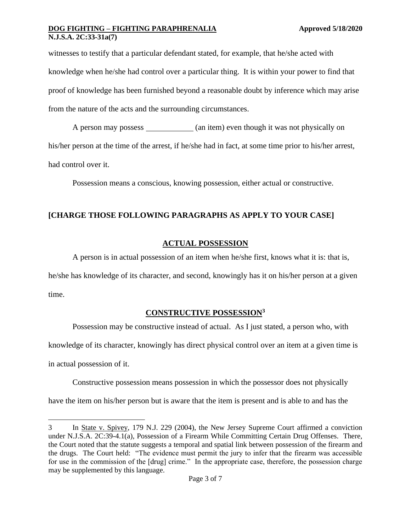witnesses to testify that a particular defendant stated, for example, that he/she acted with knowledge when he/she had control over a particular thing. It is within your power to find that proof of knowledge has been furnished beyond a reasonable doubt by inference which may arise from the nature of the acts and the surrounding circumstances.

A person may possess (an item) even though it was not physically on his/her person at the time of the arrest, if he/she had in fact, at some time prior to his/her arrest, had control over it.

Possession means a conscious, knowing possession, either actual or constructive.

## **[CHARGE THOSE FOLLOWING PARAGRAPHS AS APPLY TO YOUR CASE]**

# **ACTUAL POSSESSION**

A person is in actual possession of an item when he/she first, knows what it is: that is,

he/she has knowledge of its character, and second, knowingly has it on his/her person at a given time.

# **CONSTRUCTIVE POSSESSION<sup>3</sup>**

Possession may be constructive instead of actual. As I just stated, a person who, with

knowledge of its character, knowingly has direct physical control over an item at a given time is

in actual possession of it.

Constructive possession means possession in which the possessor does not physically

have the item on his/her person but is aware that the item is present and is able to and has the

<sup>3</sup> In State v. Spivey, 179 N.J. 229 (2004), the New Jersey Supreme Court affirmed a conviction under N.J.S.A. 2C:39-4.1(a), Possession of a Firearm While Committing Certain Drug Offenses. There, the Court noted that the statute suggests a temporal and spatial link between possession of the firearm and the drugs. The Court held: "The evidence must permit the jury to infer that the firearm was accessible for use in the commission of the [drug] crime." In the appropriate case, therefore, the possession charge may be supplemented by this language.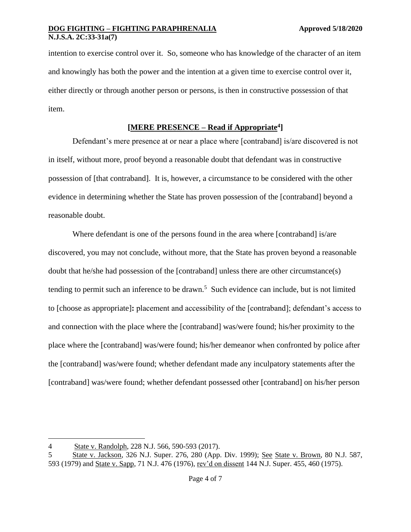intention to exercise control over it. So, someone who has knowledge of the character of an item and knowingly has both the power and the intention at a given time to exercise control over it, either directly or through another person or persons, is then in constructive possession of that item.

## **[MERE PRESENCE – Read if Appropriate<sup>4</sup> ]**

Defendant's mere presence at or near a place where [contraband] is/are discovered is not in itself, without more, proof beyond a reasonable doubt that defendant was in constructive possession of [that contraband]. It is, however, a circumstance to be considered with the other evidence in determining whether the State has proven possession of the [contraband] beyond a reasonable doubt.

Where defendant is one of the persons found in the area where [contraband] is/are discovered, you may not conclude, without more, that the State has proven beyond a reasonable doubt that he/she had possession of the [contraband] unless there are other circumstance(s) tending to permit such an inference to be drawn.<sup>5</sup> Such evidence can include, but is not limited to [choose as appropriate]**:** placement and accessibility of the [contraband]; defendant's access to and connection with the place where the [contraband] was/were found; his/her proximity to the place where the [contraband] was/were found; his/her demeanor when confronted by police after the [contraband] was/were found; whether defendant made any inculpatory statements after the [contraband] was/were found; whether defendant possessed other [contraband] on his/her person

<sup>4</sup> State v. Randolph, 228 N.J. 566, 590-593 (2017).

<sup>5</sup> State v. Jackson, 326 N.J. Super. 276, 280 (App. Div. 1999); See State v. Brown, 80 N.J. 587, 593 (1979) and State v. Sapp, 71 N.J. 476 (1976), rev'd on dissent 144 N.J. Super. 455, 460 (1975).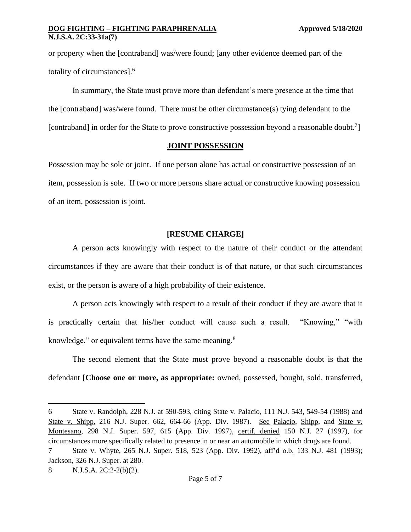or property when the [contraband] was/were found; [any other evidence deemed part of the totality of circumstances].<sup>6</sup>

In summary, the State must prove more than defendant's mere presence at the time that the [contraband] was/were found. There must be other circumstance(s) tying defendant to the [contraband] in order for the State to prove constructive possession beyond a reasonable doubt.<sup>7</sup>]

### **JOINT POSSESSION**

Possession may be sole or joint. If one person alone has actual or constructive possession of an item, possession is sole. If two or more persons share actual or constructive knowing possession of an item, possession is joint.

### **[RESUME CHARGE]**

A person acts knowingly with respect to the nature of their conduct or the attendant circumstances if they are aware that their conduct is of that nature, or that such circumstances exist, or the person is aware of a high probability of their existence.

A person acts knowingly with respect to a result of their conduct if they are aware that it is practically certain that his/her conduct will cause such a result. "Knowing," "with knowledge," or equivalent terms have the same meaning.<sup>8</sup>

The second element that the State must prove beyond a reasonable doubt is that the defendant **[Choose one or more, as appropriate:** owned, possessed, bought, sold, transferred,

<sup>6</sup> State v. Randolph, 228 N.J. at 590-593, citing State v. Palacio, 111 N.J. 543, 549-54 (1988) and State v. Shipp, 216 N.J. Super. 662, 664-66 (App. Div. 1987). See Palacio, Shipp, and State v. Montesano, 298 N.J. Super. 597, 615 (App. Div. 1997), certif. denied 150 N.J. 27 (1997), for circumstances more specifically related to presence in or near an automobile in which drugs are found.

<sup>7</sup> State v. Whyte, 265 N.J. Super. 518, 523 (App. Div. 1992), aff'd o.b. 133 N.J. 481 (1993); Jackson, 326 N.J. Super. at 280.

<sup>8</sup> N.J.S.A. 2C:2-2(b)(2).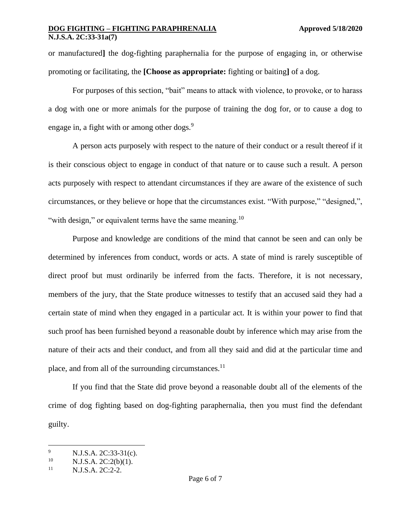or manufactured**]** the dog-fighting paraphernalia for the purpose of engaging in, or otherwise promoting or facilitating, the **[Choose as appropriate:** fighting or baiting**]** of a dog.

For purposes of this section, "bait" means to attack with violence, to provoke, or to harass a dog with one or more animals for the purpose of training the dog for, or to cause a dog to engage in, a fight with or among other dogs.<sup>9</sup>

A person acts purposely with respect to the nature of their conduct or a result thereof if it is their conscious object to engage in conduct of that nature or to cause such a result. A person acts purposely with respect to attendant circumstances if they are aware of the existence of such circumstances, or they believe or hope that the circumstances exist. "With purpose," "designed,", "with design," or equivalent terms have the same meaning.<sup>10</sup>

Purpose and knowledge are conditions of the mind that cannot be seen and can only be determined by inferences from conduct, words or acts. A state of mind is rarely susceptible of direct proof but must ordinarily be inferred from the facts. Therefore, it is not necessary, members of the jury, that the State produce witnesses to testify that an accused said they had a certain state of mind when they engaged in a particular act. It is within your power to find that such proof has been furnished beyond a reasonable doubt by inference which may arise from the nature of their acts and their conduct, and from all they said and did at the particular time and place, and from all of the surrounding circumstances.<sup>11</sup>

If you find that the State did prove beyond a reasonable doubt all of the elements of the crime of dog fighting based on dog-fighting paraphernalia, then you must find the defendant guilty.

<sup>&</sup>lt;sup>9</sup> N.J.S.A. 2C:33-31(c).<br><sup>10</sup> N.J.S.A. 2C:2(b)(1).

<sup>&</sup>lt;sup>10</sup> N.J.S.A. 2C:2(b)(1).<br><sup>11</sup> N.J.S.A. 2C:2.2

N.J.S.A. 2C:2-2.